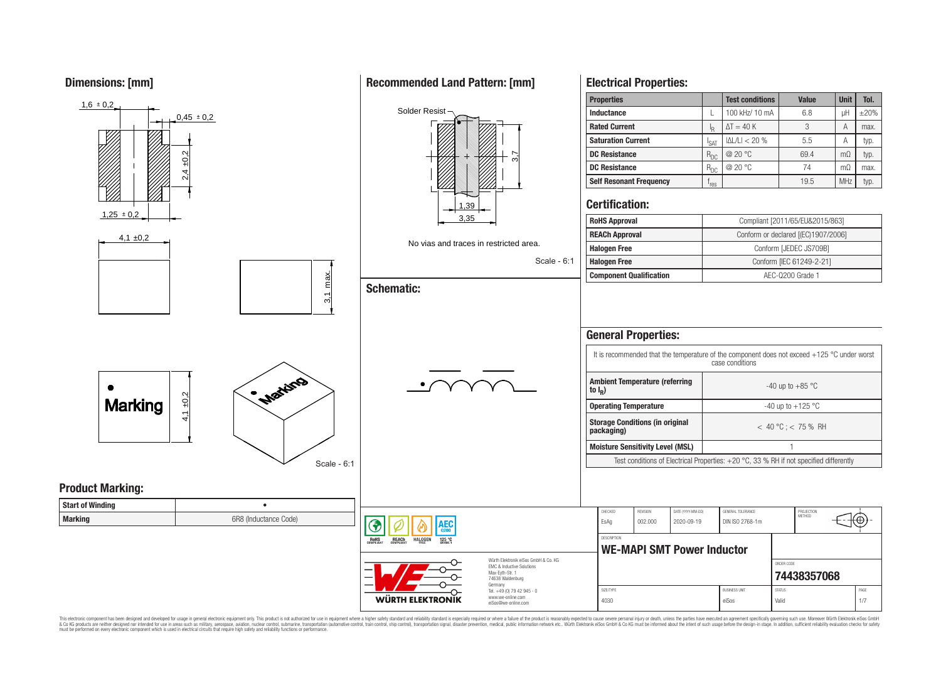**Dimensions: [mm]**



This electronic component has been designed and developed for usage in general electronic equipment only. This product is not authorized for use in equipment where a higher safety standard and reliability standard is espec & Ook product a label and the membed of the seasuch as marked and as which such a membed and the such assume that income in the seasuch and the simulation and the such assume that include to the such a membed and the such

# **Recommended Land Pattern: [mm]**

**Electrical Properties:**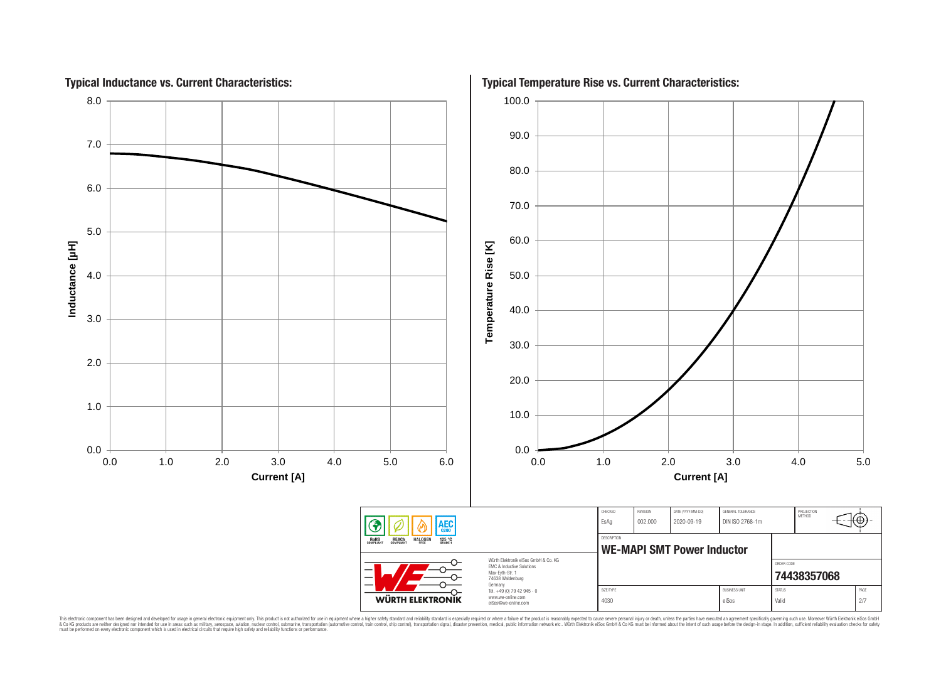

This electronic component has been designed and developed for usage in general electronic equipment only. This product is not authorized for subserved requipment where a higher selection equipment where a higher selection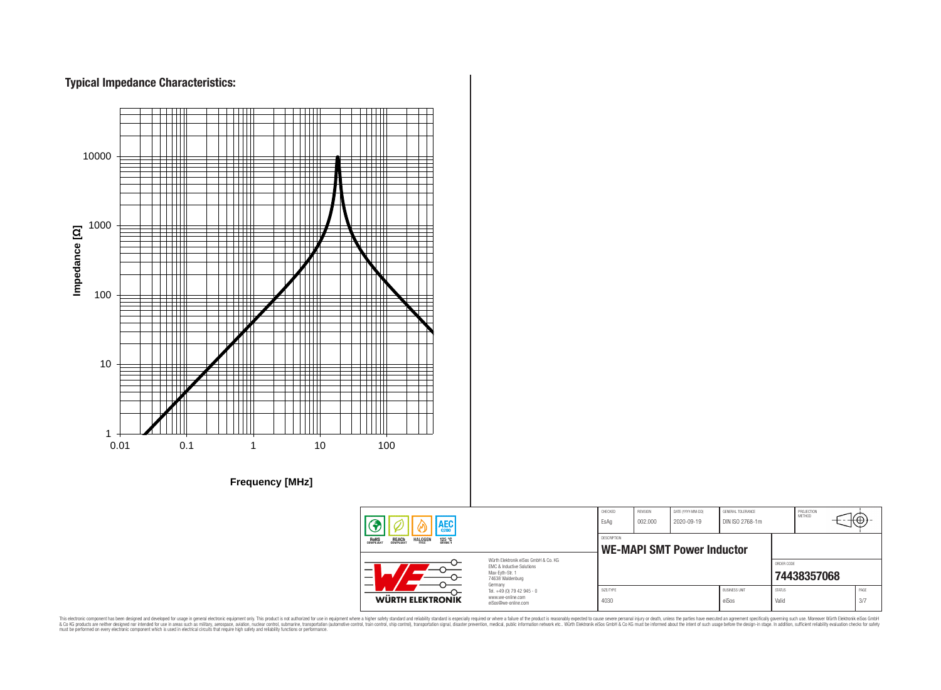# **Typical Impedance Characteristics:**



This electronic component has been designed and developed for usage in general electronic equipment only. This product is not authorized for use in equipment where a higher safely standard and reliability standard si espec & Ook product a label and the membed of the seasuch as marked and as which such a membed and the such assume that income in the seasuch and the simulation and the such assume that include to the such a membed and the such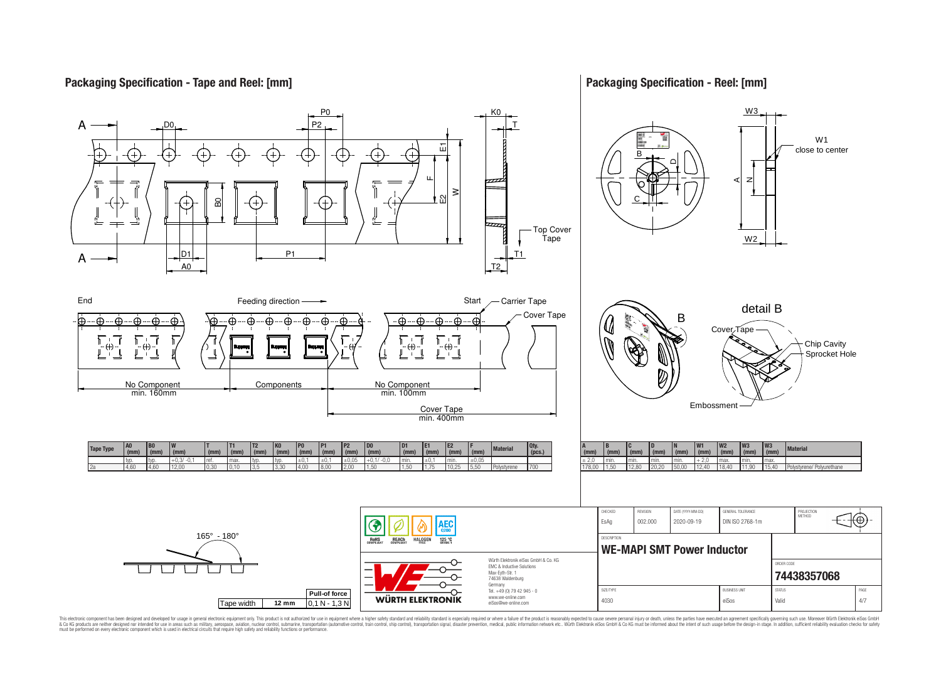## **Packaging Specification - Tape and Reel: [mm]**

## **Packaging Specification - Reel: [mm]**



This electronic component has been designed and developed for usage in general electronic equipment only. This product is not authorized for subserved requipment where a higher selection equipment where a higher selection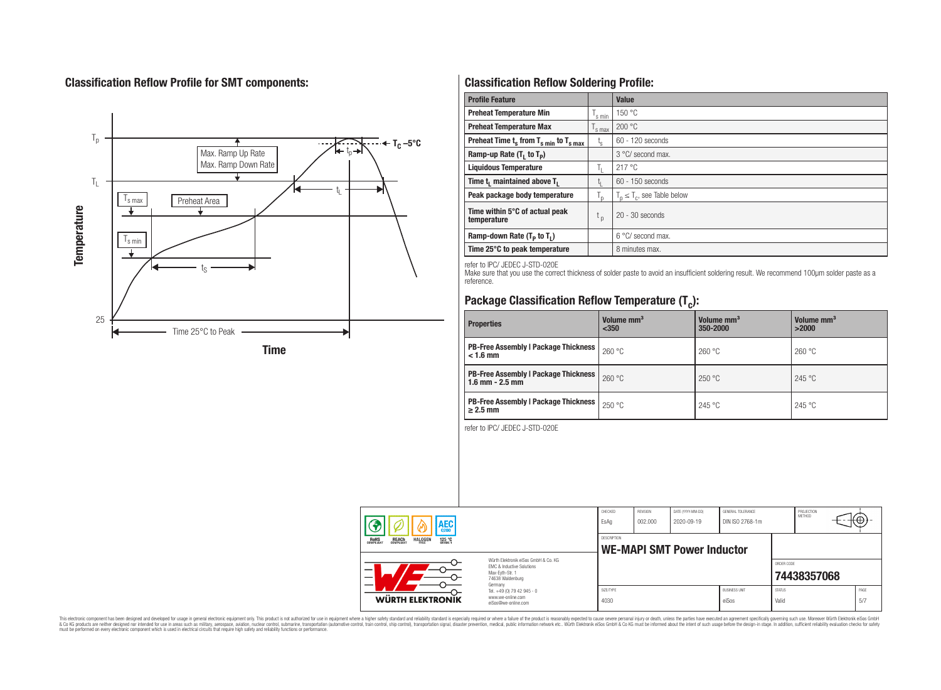# **Classification Reflow Profile for SMT components:**



# **Classification Reflow Soldering Profile:**

| <b>Profile Feature</b>                             |                    | <b>Value</b>                     |
|----------------------------------------------------|--------------------|----------------------------------|
| <b>Preheat Temperature Min</b>                     | <sup>I</sup> s min | 150 °C                           |
| <b>Preheat Temperature Max</b>                     | <sup>I</sup> s max | 200 °C                           |
| Preheat Time $t_s$ from $T_{s min}$ to $T_{s max}$ | $t_{\rm s}$        | $60 - 120$ seconds               |
| Ramp-up Rate $(T_1$ to $T_p$ )                     |                    | 3 °C/ second max.                |
| <b>Liquidous Temperature</b>                       | Ь.                 | 217 °C                           |
| Time $t_i$ maintained above $T_i$                  | կ                  | $60 - 150$ seconds               |
| Peak package body temperature                      | l n                | $T_p \leq T_c$ , see Table below |
| Time within 5°C of actual peak<br>temperature      | $t_{p}$            | $20 - 30$ seconds                |
| Ramp-down Rate $(T_p$ to $T_1$ )                   |                    | $6^{\circ}$ C/ second max.       |
| Time 25°C to peak temperature                      |                    | 8 minutes max.                   |

refer to IPC/ JEDEC J-STD-020E

Make sure that you use the correct thickness of solder paste to avoid an insufficient soldering result. We recommend 100µm solder paste as a reference.

# **Package Classification Reflow Temperature (T<sup>c</sup> ):**

| <b>Properties</b>                                                    | Volume mm <sup>3</sup><br>< 350 | Volume mm <sup>3</sup><br>350-2000 | Volume mm <sup>3</sup><br>>2000 |  |
|----------------------------------------------------------------------|---------------------------------|------------------------------------|---------------------------------|--|
| <b>PB-Free Assembly   Package Thickness  </b><br>$< 1.6$ mm          | 260 °C                          | 260 °C                             | 260 °C                          |  |
| <b>PB-Free Assembly   Package Thickness  </b><br>$1.6$ mm $- 2.5$ mm | 260 °C                          | 250 °C                             | 245 °C                          |  |
| <b>PB-Free Assembly   Package Thickness  </b><br>$\geq$ 2.5 mm       | 250 °C                          | 245 °C                             | 245 °C                          |  |

refer to IPC/ JEDEC J-STD-020E

| AEC                                                                                          |                                                                                                                     | CHECKED<br>EsAq                                  | <b>REVISION</b><br>002.000 | DATE (YYYY-MM-DD)<br>2020-09-19 | GENERAL TOLERANCE<br>DIN ISO 2768-1m |                        | PROJECTION<br>METHOD |             |
|----------------------------------------------------------------------------------------------|---------------------------------------------------------------------------------------------------------------------|--------------------------------------------------|----------------------------|---------------------------------|--------------------------------------|------------------------|----------------------|-------------|
| <b>REACH</b><br>COMPLIANT<br><b>HALOGEN</b><br><b>ROHS</b><br>COMPLIANT<br>125 °C<br>GRADE 1 |                                                                                                                     | DESCRIPTION<br><b>WE-MAPI SMT Power Inductor</b> |                            |                                 |                                      |                        |                      |             |
|                                                                                              | Würth Flektronik eiSos GmbH & Co. KG<br>FMC & Inductive Solutions<br>Max-Eyth-Str. 1<br>74638 Waldenburg<br>Germany |                                                  |                            |                                 |                                      | ORDER CODE             | 74438357068          |             |
| WÜRTH ELEKTRONIK                                                                             | Tel. +49 (0) 79 42 945 - 0<br>www.we-online.com<br>eiSos@we-online.com                                              | SIZE/TYPE<br>4030                                |                            |                                 | <b>BUSINESS UNIT</b><br>eiSos        | <b>STATUS</b><br>Valid |                      | PAGE<br>5/7 |

This electronic component has been designed and developed for usage in general electronic equipment only. This product is not authorized for subserved requipment where a higher selection equipment where a higher selection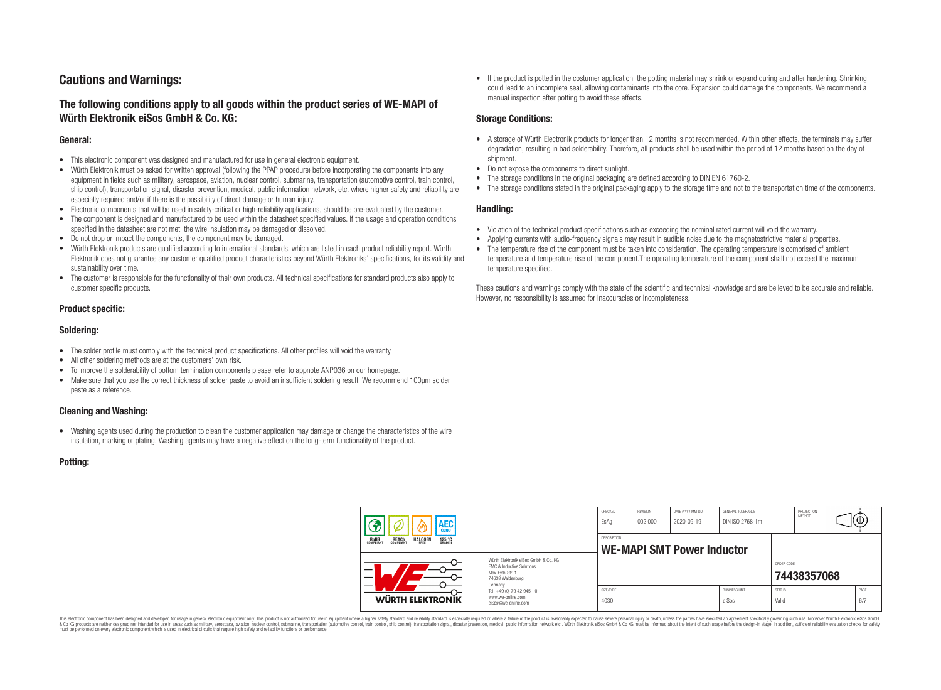# **Cautions and Warnings:**

## **The following conditions apply to all goods within the product series of WE-MAPI of Würth Elektronik eiSos GmbH & Co. KG:**

#### **General:**

- This electronic component was designed and manufactured for use in general electronic equipment.
- Würth Elektronik must be asked for written approval (following the PPAP procedure) before incorporating the components into any equipment in fields such as military, aerospace, aviation, nuclear control, submarine, transportation (automotive control, train control, ship control), transportation signal, disaster prevention, medical, public information network, etc. where higher safety and reliability are especially required and/or if there is the possibility of direct damage or human injury.
- Electronic components that will be used in safety-critical or high-reliability applications, should be pre-evaluated by the customer.
- The component is designed and manufactured to be used within the datasheet specified values. If the usage and operation conditions specified in the datasheet are not met, the wire insulation may be damaged or dissolved.
- Do not drop or impact the components, the component may be damaged.
- Würth Elektronik products are qualified according to international standards, which are listed in each product reliability report. Würth Elektronik does not guarantee any customer qualified product characteristics beyond Würth Elektroniks' specifications, for its validity and sustainability over time.
- The customer is responsible for the functionality of their own products. All technical specifications for standard products also apply to customer specific products.

## **Product specific:**

#### **Soldering:**

- The solder profile must comply with the technical product specifications. All other profiles will void the warranty.
- All other soldering methods are at the customers' own risk.
- To improve the solderability of bottom termination components please refer to appnote ANP036 on our homepage.
- Make sure that you use the correct thickness of solder paste to avoid an insufficient soldering result. We recommend 100µm solder paste as a reference.

## **Cleaning and Washing:**

• Washing agents used during the production to clean the customer application may damage or change the characteristics of the wire insulation, marking or plating. Washing agents may have a negative effect on the long-term functionality of the product.

#### **Potting:**

• If the product is potted in the costumer application, the potting material may shrink or expand during and after hardening. Shrinking could lead to an incomplete seal, allowing contaminants into the core. Expansion could damage the components. We recommend a manual inspection after potting to avoid these effects.

#### **Storage Conditions:**

- A storage of Würth Electronik products for longer than 12 months is not recommended. Within other effects, the terminals may suffer degradation, resulting in bad solderability. Therefore, all products shall be used within the period of 12 months based on the day of shipment.
- Do not expose the components to direct sunlight.
- The storage conditions in the original packaging are defined according to DIN EN 61760-2.
- The storage conditions stated in the original packaging apply to the storage time and not to the transportation time of the components.

#### **Handling:**

- Violation of the technical product specifications such as exceeding the nominal rated current will void the warranty.
- Applying currents with audio-frequency signals may result in audible noise due to the magnetostrictive material properties.
- The temperature rise of the component must be taken into consideration. The operating temperature is comprised of ambient temperature and temperature rise of the component.The operating temperature of the component shall not exceed the maximum temperature specified.

These cautions and warnings comply with the state of the scientific and technical knowledge and are believed to be accurate and reliable. However, no responsibility is assumed for inaccuracies or incompleteness.

| AEC                                                                                          |                                                                                                                                                                                               | CHECKED<br>EsAq                                         | <b>REVISION</b><br>002.000 | DATE (YYYY-MM-DD)<br>2020-09-19 | GENERAL TOLERANCE<br>DIN ISO 2768-1m |                        | PROJECTION<br>METHOD |             |
|----------------------------------------------------------------------------------------------|-----------------------------------------------------------------------------------------------------------------------------------------------------------------------------------------------|---------------------------------------------------------|----------------------------|---------------------------------|--------------------------------------|------------------------|----------------------|-------------|
| <b>ROHS</b><br>COMPLIANT<br><b>HALOGEN</b><br>125 °C<br>GRADE 1<br><b>REACH</b><br>COMPLIANT |                                                                                                                                                                                               | <b>DESCRIPTION</b><br><b>WE-MAPI SMT Power Inductor</b> |                            |                                 |                                      |                        |                      |             |
|                                                                                              | Würth Flektronik eiSos GmbH & Co. KG<br>FMC & Inductive Solutions<br>Max-Eyth-Str. 1<br>74638 Waldenburg<br>Germany<br>Tel. +49 (0) 79 42 945 - 0<br>www.we-online.com<br>eiSos@we-online.com |                                                         |                            |                                 |                                      | ORDER CODE             | 74438357068          |             |
| WÜRTH ELEKTRONIK                                                                             |                                                                                                                                                                                               | SIZE/TYPE<br>4030                                       |                            |                                 | <b>BUSINESS UNIT</b><br>eiSos        | <b>STATUS</b><br>Valid |                      | PAGE<br>6/7 |

This electronic component has been designed and developed for usage in general electronic equipment only. This product is not authorized for use in equipment where a higher safety standard and reliability standard si espec & Ook product a label and the membed of the seasuch as marked and as which such a membed and the such assume that income in the seasuch and the simulation and the such assume that include to the such a membed and the such